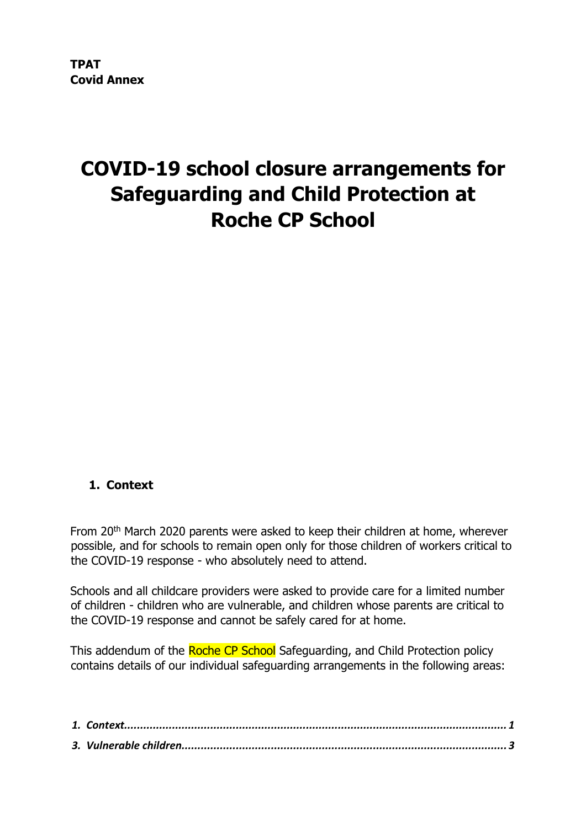# **COVID-19 school closure arrangements for Safeguarding and Child Protection at Roche CP School**

# <span id="page-0-0"></span>**1. Context**

From 20<sup>th</sup> March 2020 parents were asked to keep their children at home, wherever possible, and for schools to remain open only for those children of workers critical to the COVID-19 response - who absolutely need to attend.

Schools and all childcare providers were asked to provide care for a limited number of children - children who are vulnerable, and children whose parents are critical to the COVID-19 response and cannot be safely cared for at home.

This addendum of the Roche CP School Safeguarding, and Child Protection policy contains details of our individual safeguarding arrangements in the following areas: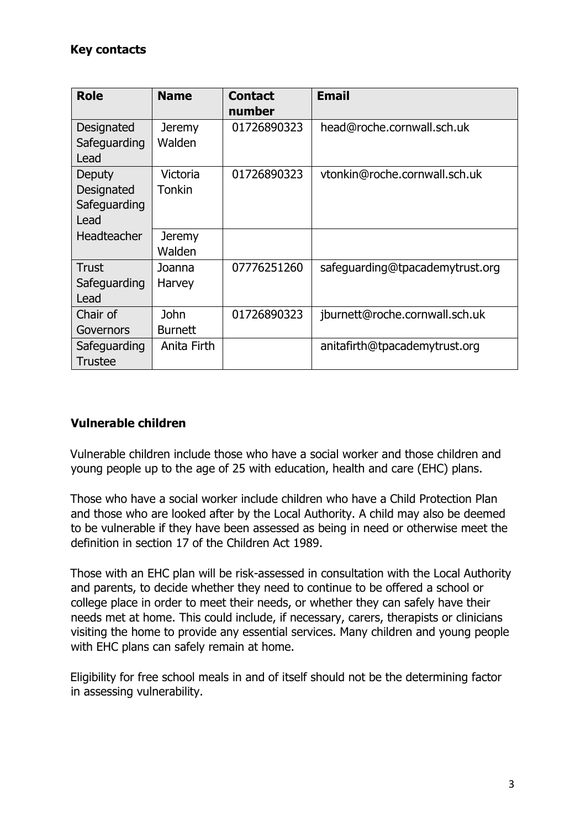# **Key contacts**

| <b>Role</b>    | <b>Name</b>    | <b>Contact</b> | <b>Email</b>                    |
|----------------|----------------|----------------|---------------------------------|
|                |                | number         |                                 |
| Designated     | <b>Jeremy</b>  | 01726890323    | head@roche.cornwall.sch.uk      |
| Safeguarding   | Walden         |                |                                 |
| Lead           |                |                |                                 |
| Deputy         | Victoria       | 01726890323    | vtonkin@roche.cornwall.sch.uk   |
| Designated     | <b>Tonkin</b>  |                |                                 |
| Safeguarding   |                |                |                                 |
| Lead           |                |                |                                 |
| Headteacher    | <b>Jeremy</b>  |                |                                 |
|                | Walden         |                |                                 |
| Trust          | Joanna         | 07776251260    | safeguarding@tpacademytrust.org |
| Safeguarding   | Harvey         |                |                                 |
| Lead           |                |                |                                 |
| Chair of       | <b>John</b>    | 01726890323    | jburnett@roche.cornwall.sch.uk  |
| Governors      | <b>Burnett</b> |                |                                 |
| Safeguarding   | Anita Firth    |                | anitafirth@tpacademytrust.org   |
| <b>Trustee</b> |                |                |                                 |

#### <span id="page-2-0"></span>**Vulnerable children**

Vulnerable children include those who have a social worker and those children and young people up to the age of 25 with education, health and care (EHC) plans.

Those who have a social worker include children who have a Child Protection Plan and those who are looked after by the Local Authority. A child may also be deemed to be vulnerable if they have been assessed as being in need or otherwise meet the definition in section 17 of the Children Act 1989.

Those with an EHC plan will be risk-assessed in consultation with the Local Authority and parents, to decide whether they need to continue to be offered a school or college place in order to meet their needs, or whether they can safely have their needs met at home. This could include, if necessary, carers, therapists or clinicians visiting the home to provide any essential services. Many children and young people with EHC plans can safely remain at home.

Eligibility for free school meals in and of itself should not be the determining factor in assessing vulnerability.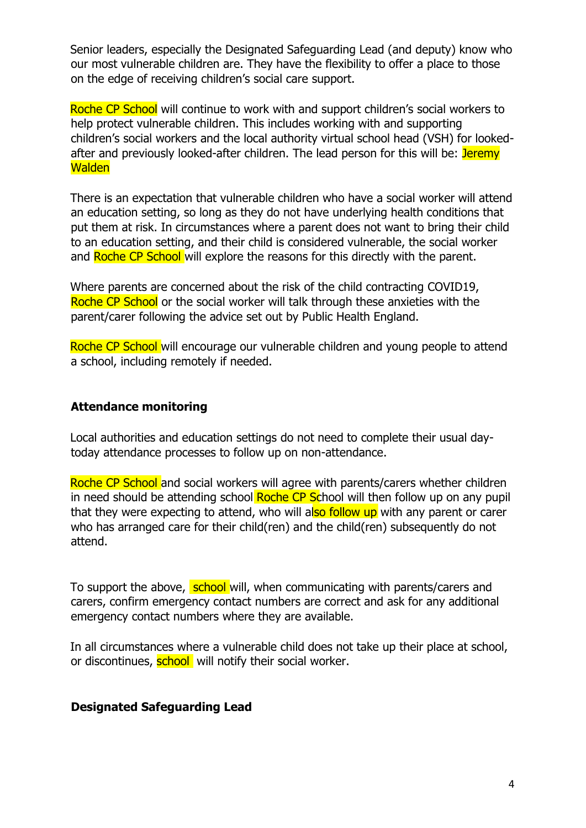Senior leaders, especially the Designated Safeguarding Lead (and deputy) know who our most vulnerable children are. They have the flexibility to offer a place to those on the edge of receiving children's social care support.

Roche CP School will continue to work with and support children's social workers to help protect vulnerable children. This includes working with and supporting children's social workers and the local authority virtual school head (VSH) for lookedafter and previously looked-after children. The lead person for this will be: Jeremy **Walden** 

There is an expectation that vulnerable children who have a social worker will attend an education setting, so long as they do not have underlying health conditions that put them at risk. In circumstances where a parent does not want to bring their child to an education setting, and their child is considered vulnerable, the social worker and Roche CP School will explore the reasons for this directly with the parent.

Where parents are concerned about the risk of the child contracting COVID19, Roche CP School or the social worker will talk through these anxieties with the parent/carer following the advice set out by Public Health England.

Roche CP School will encourage our vulnerable children and young people to attend a school, including remotely if needed.

#### <span id="page-3-0"></span>**Attendance monitoring**

Local authorities and education settings do not need to complete their usual daytoday attendance processes to follow up on non-attendance.

Roche CP School and social workers will agree with parents/carers whether children in need should be attending school Roche CP School will then follow up on any pupil that they were expecting to attend, who will also follow up with any parent or carer who has arranged care for their child(ren) and the child(ren) subsequently do not attend.

To support the above, school will, when communicating with parents/carers and carers, confirm emergency contact numbers are correct and ask for any additional emergency contact numbers where they are available.

In all circumstances where a vulnerable child does not take up their place at school, or discontinues, school will notify their social worker.

#### <span id="page-3-1"></span>**Designated Safeguarding Lead**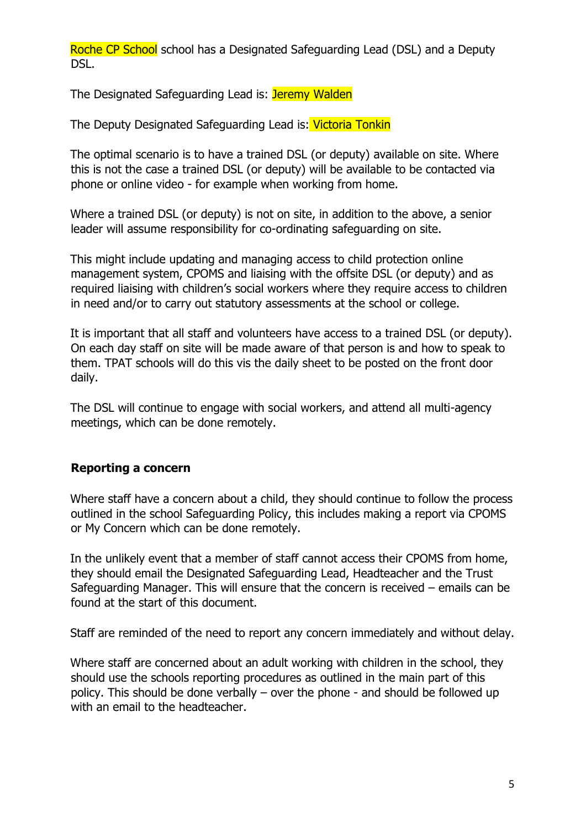Roche CP School school has a Designated Safeguarding Lead (DSL) and a Deputy DSL.

The Designated Safeguarding Lead is: Jeremy Walden

The Deputy Designated Safeguarding Lead is: Victoria Tonkin

The optimal scenario is to have a trained DSL (or deputy) available on site. Where this is not the case a trained DSL (or deputy) will be available to be contacted via phone or online video - for example when working from home.

Where a trained DSL (or deputy) is not on site, in addition to the above, a senior leader will assume responsibility for co-ordinating safeguarding on site.

This might include updating and managing access to child protection online management system, CPOMS and liaising with the offsite DSL (or deputy) and as required liaising with children's social workers where they require access to children in need and/or to carry out statutory assessments at the school or college.

It is important that all staff and volunteers have access to a trained DSL (or deputy). On each day staff on site will be made aware of that person is and how to speak to them. TPAT schools will do this vis the daily sheet to be posted on the front door daily.

The DSL will continue to engage with social workers, and attend all multi-agency meetings, which can be done remotely.

# <span id="page-4-0"></span>**Reporting a concern**

Where staff have a concern about a child, they should continue to follow the process outlined in the school Safeguarding Policy, this includes making a report via CPOMS or My Concern which can be done remotely.

In the unlikely event that a member of staff cannot access their CPOMS from home, they should email the Designated Safeguarding Lead, Headteacher and the Trust Safeguarding Manager. This will ensure that the concern is received – emails can be found at the start of this document.

Staff are reminded of the need to report any concern immediately and without delay.

Where staff are concerned about an adult working with children in the school, they should use the schools reporting procedures as outlined in the main part of this policy. This should be done verbally – over the phone - and should be followed up with an email to the headteacher.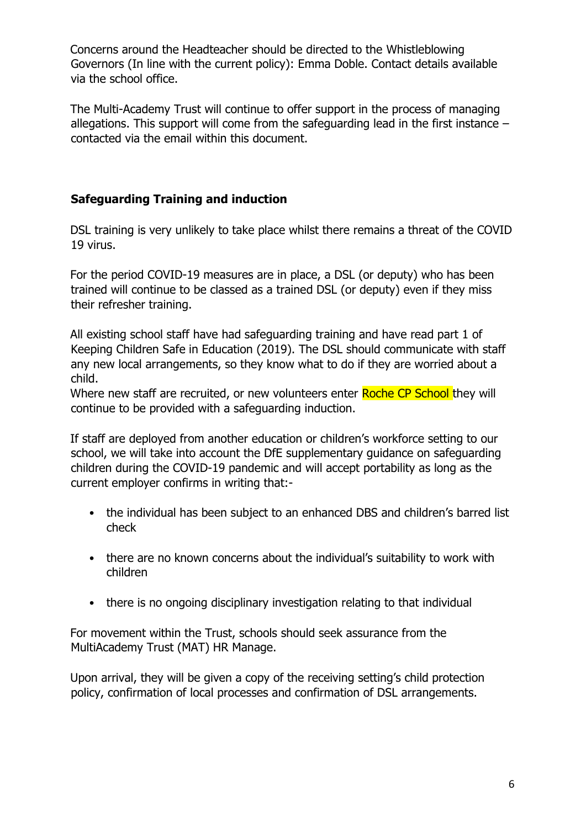Concerns around the Headteacher should be directed to the Whistleblowing Governors (In line with the current policy): Emma Doble. Contact details available via the school office.

The Multi-Academy Trust will continue to offer support in the process of managing allegations. This support will come from the safeguarding lead in the first instance – contacted via the email within this document.

# <span id="page-5-0"></span>**Safeguarding Training and induction**

DSL training is very unlikely to take place whilst there remains a threat of the COVID 19 virus.

For the period COVID-19 measures are in place, a DSL (or deputy) who has been trained will continue to be classed as a trained DSL (or deputy) even if they miss their refresher training.

All existing school staff have had safeguarding training and have read part 1 of Keeping Children Safe in Education (2019). The DSL should communicate with staff any new local arrangements, so they know what to do if they are worried about a child.

Where new staff are recruited, or new volunteers enter Roche CP School they will continue to be provided with a safeguarding induction.

If staff are deployed from another education or children's workforce setting to our school, we will take into account the DfE supplementary guidance on safeguarding children during the COVID-19 pandemic and will accept portability as long as the current employer confirms in writing that:-

- the individual has been subject to an enhanced DBS and children's barred list check
- there are no known concerns about the individual's suitability to work with children
- there is no ongoing disciplinary investigation relating to that individual

For movement within the Trust, schools should seek assurance from the MultiAcademy Trust (MAT) HR Manage.

Upon arrival, they will be given a copy of the receiving setting's child protection policy, confirmation of local processes and confirmation of DSL arrangements.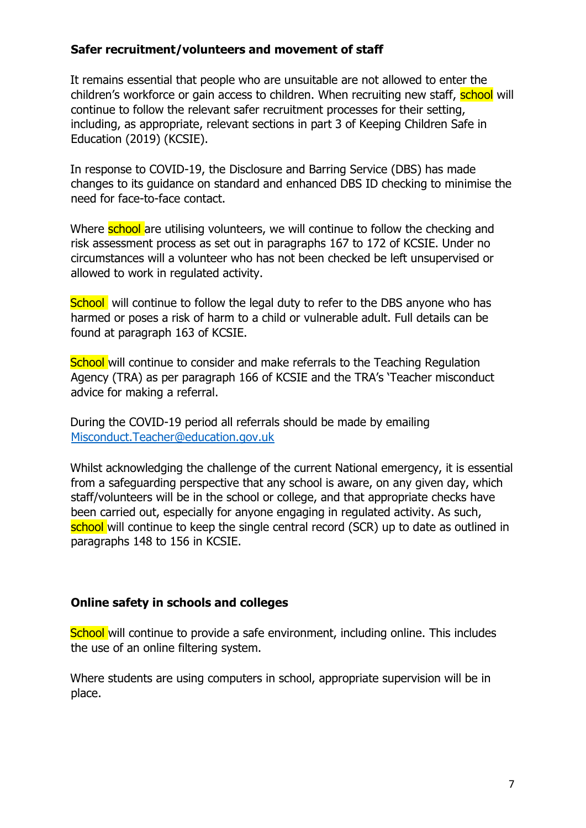#### <span id="page-6-0"></span>**Safer recruitment/volunteers and movement of staff**

It remains essential that people who are unsuitable are not allowed to enter the children's workforce or gain access to children. When recruiting new staff, **school** will continue to follow the relevant safer recruitment processes for their setting, including, as appropriate, relevant sections in part 3 of Keeping Children Safe in Education (2019) (KCSIE).

In response to COVID-19, the Disclosure and Barring Service (DBS) has made changes to its guidance on standard and enhanced DBS ID checking to minimise the need for face-to-face contact.

Where **school** are utilising volunteers, we will continue to follow the checking and risk assessment process as set out in paragraphs 167 to 172 of KCSIE. Under no circumstances will a volunteer who has not been checked be left unsupervised or allowed to work in regulated activity.

School, will continue to follow the legal duty to refer to the DBS anyone who has harmed or poses a risk of harm to a child or vulnerable adult. Full details can be found at paragraph 163 of KCSIE.

**School** will continue to consider and make referrals to the Teaching Regulation Agency (TRA) as per paragraph 166 of KCSIE and the TRA's 'Teacher misconduct advice for making a referral.

During the COVID-19 period all referrals should be made by emailing Misconduct.Teacher@education.gov.uk

Whilst acknowledging the challenge of the current National emergency, it is essential from a safeguarding perspective that any school is aware, on any given day, which staff/volunteers will be in the school or college, and that appropriate checks have been carried out, especially for anyone engaging in regulated activity. As such, school will continue to keep the single central record (SCR) up to date as outlined in paragraphs 148 to 156 in KCSIE.

#### <span id="page-6-1"></span>**Online safety in schools and colleges**

School will continue to provide a safe environment, including online. This includes the use of an online filtering system.

Where students are using computers in school, appropriate supervision will be in place.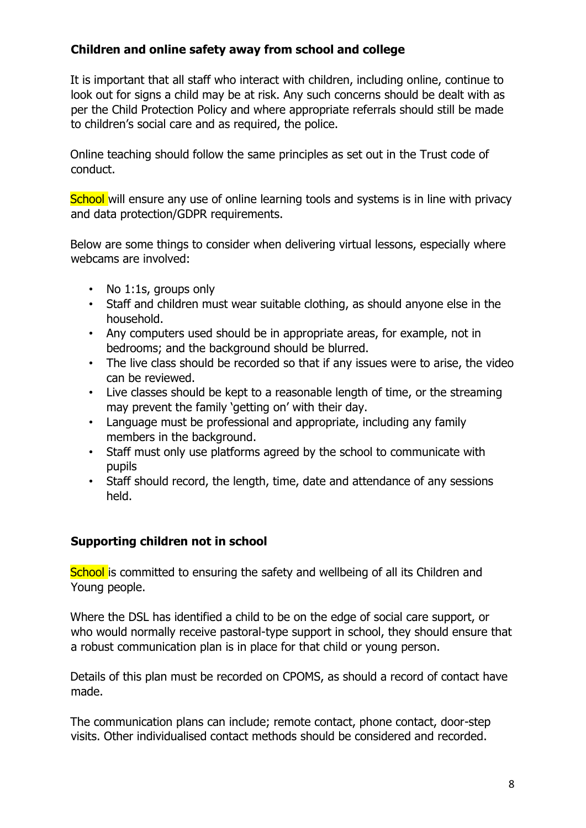# <span id="page-7-0"></span>**Children and online safety away from school and college**

It is important that all staff who interact with children, including online, continue to look out for signs a child may be at risk. Any such concerns should be dealt with as per the Child Protection Policy and where appropriate referrals should still be made to children's social care and as required, the police.

Online teaching should follow the same principles as set out in the Trust code of conduct.

School will ensure any use of online learning tools and systems is in line with privacy and data protection/GDPR requirements.

Below are some things to consider when delivering virtual lessons, especially where webcams are involved:

- No 1:1s, groups only
- Staff and children must wear suitable clothing, as should anyone else in the household.
- Any computers used should be in appropriate areas, for example, not in bedrooms; and the background should be blurred.
- The live class should be recorded so that if any issues were to arise, the video can be reviewed.
- Live classes should be kept to a reasonable length of time, or the streaming may prevent the family 'getting on' with their day.
- Language must be professional and appropriate, including any family members in the background.
- Staff must only use platforms agreed by the school to communicate with pupils
- Staff should record, the length, time, date and attendance of any sessions held.

# <span id="page-7-1"></span>**Supporting children not in school**

School is committed to ensuring the safety and wellbeing of all its Children and Young people.

Where the DSL has identified a child to be on the edge of social care support, or who would normally receive pastoral-type support in school, they should ensure that a robust communication plan is in place for that child or young person.

Details of this plan must be recorded on CPOMS, as should a record of contact have made.

The communication plans can include; remote contact, phone contact, door-step visits. Other individualised contact methods should be considered and recorded.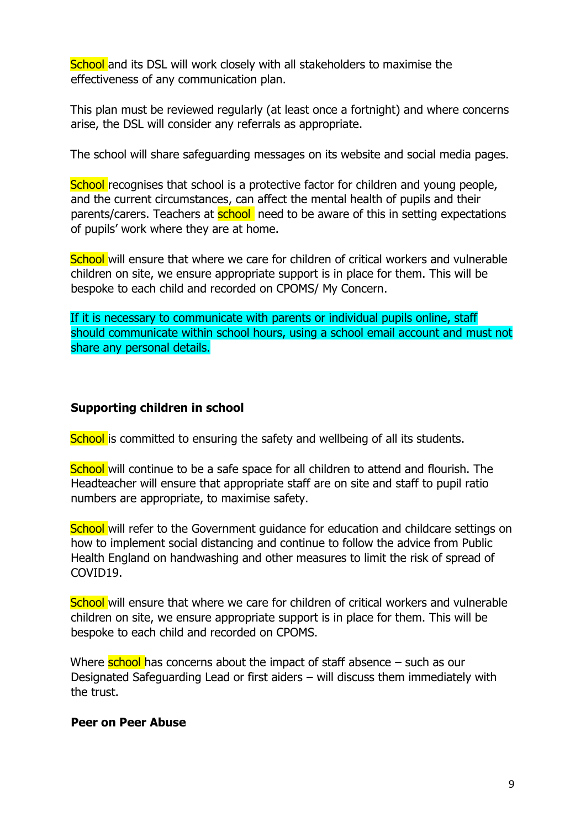School and its DSL will work closely with all stakeholders to maximise the effectiveness of any communication plan.

This plan must be reviewed regularly (at least once a fortnight) and where concerns arise, the DSL will consider any referrals as appropriate.

The school will share safeguarding messages on its website and social media pages.

School recognises that school is a protective factor for children and young people, and the current circumstances, can affect the mental health of pupils and their parents/carers. Teachers at **school** need to be aware of this in setting expectations of pupils' work where they are at home.

School will ensure that where we care for children of critical workers and vulnerable children on site, we ensure appropriate support is in place for them. This will be bespoke to each child and recorded on CPOMS/ My Concern.

If it is necessary to communicate with parents or individual pupils online, staff should communicate within school hours, using a school email account and must not share any personal details.

#### <span id="page-8-0"></span>**Supporting children in school**

School is committed to ensuring the safety and wellbeing of all its students.

School will continue to be a safe space for all children to attend and flourish. The Headteacher will ensure that appropriate staff are on site and staff to pupil ratio numbers are appropriate, to maximise safety.

School will refer to the Government quidance for education and childcare settings on how to implement social distancing and continue to follow the advice from Public Health England on handwashing and other measures to limit the risk of spread of COVID19.

School will ensure that where we care for children of critical workers and vulnerable children on site, we ensure appropriate support is in place for them. This will be bespoke to each child and recorded on CPOMS.

Where  $\frac{\text{school}}{\text{has}}$  concerns about the impact of staff absence  $-$  such as our Designated Safeguarding Lead or first aiders – will discuss them immediately with the trust.

#### <span id="page-8-1"></span>**Peer on Peer Abuse**